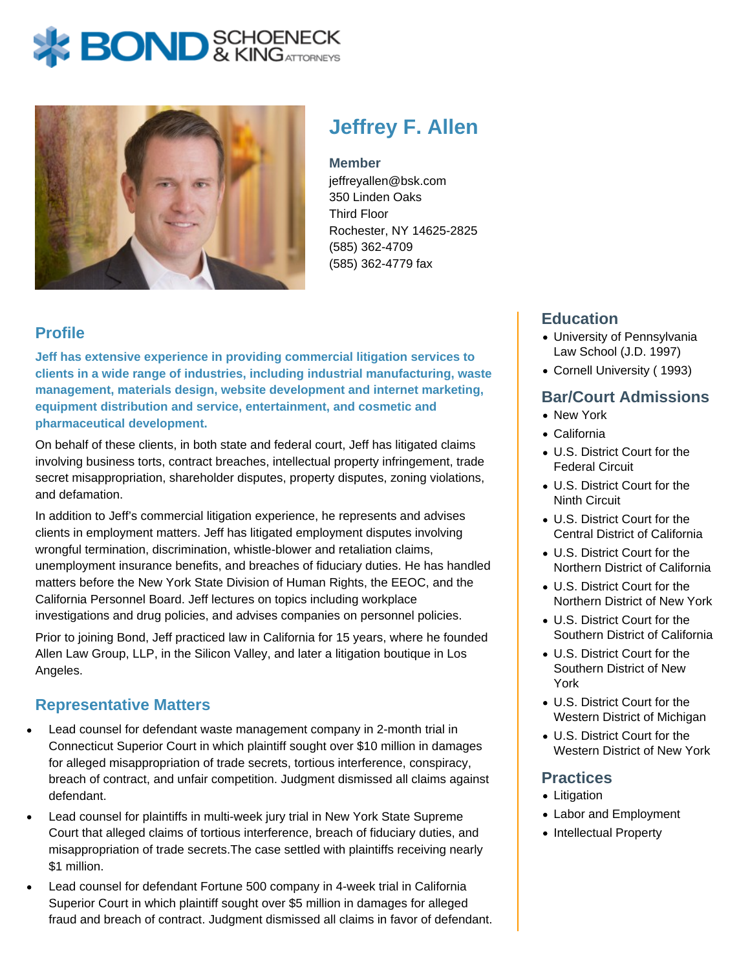# **X BOND** & KINGATTORNECK



## **Jeffrey F. Allen**

#### **Member**

jeffreyallen@bsk.com 350 Linden Oaks Third Floor Rochester, NY 14625-2825 (585) 362-4709 (585) 362-4779 fax

#### **Profile**

**Jeff has extensive experience in providing commercial litigation services to clients in a wide range of industries, including industrial manufacturing, waste management, materials design, website development and internet marketing, equipment distribution and service, entertainment, and cosmetic and pharmaceutical development.** 

On behalf of these clients, in both state and federal court, Jeff has litigated claims involving business torts, contract breaches, intellectual property infringement, trade secret misappropriation, shareholder disputes, property disputes, zoning violations, and defamation.

In addition to Jeff's commercial litigation experience, he represents and advises clients in employment matters. Jeff has litigated employment disputes involving wrongful termination, discrimination, whistle-blower and retaliation claims, unemployment insurance benefits, and breaches of fiduciary duties. He has handled matters before the New York State Division of Human Rights, the EEOC, and the California Personnel Board. Jeff lectures on topics including workplace investigations and drug policies, and advises companies on personnel policies.

Prior to joining Bond, Jeff practiced law in California for 15 years, where he founded Allen Law Group, LLP, in the Silicon Valley, and later a litigation boutique in Los Angeles.

#### **Representative Matters**

- Lead counsel for defendant waste management company in 2-month trial in Connecticut Superior Court in which plaintiff sought over \$10 million in damages for alleged misappropriation of trade secrets, tortious interference, conspiracy, breach of contract, and unfair competition. Judgment dismissed all claims against defendant.
- Lead counsel for plaintiffs in multi-week jury trial in New York State Supreme Court that alleged claims of tortious interference, breach of fiduciary duties, and misappropriation of trade secrets.The case settled with plaintiffs receiving nearly \$1 million.
- Lead counsel for defendant Fortune 500 company in 4-week trial in California Superior Court in which plaintiff sought over \$5 million in damages for alleged fraud and breach of contract. Judgment dismissed all claims in favor of defendant.

#### **Education**

- University of Pennsylvania Law School (J.D. 1997)
- Cornell University ( 1993)

#### **Bar/Court Admissions**

- New York
- California
- U.S. District Court for the Federal Circuit
- U.S. District Court for the Ninth Circuit
- U.S. District Court for the Central District of California
- U.S. District Court for the Northern District of California
- U.S. District Court for the Northern District of New York
- U.S. District Court for the Southern District of California
- U.S. District Court for the Southern District of New York
- U.S. District Court for the Western District of Michigan
- U.S. District Court for the Western District of New York

#### **Practices**

- Litigation
- Labor and Employment
- Intellectual Property